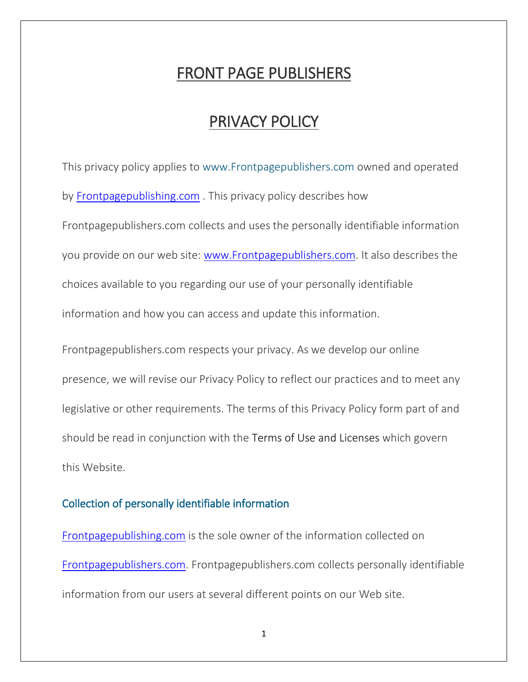# FRONT PAGE PUBLISHERS

## PRIVACY POLICY

This privacy policy applies to [www.Frontpagepublishers.com](Frontpagepublishers.com) owned and operated by [Frontpagepublishing.com](frontpagepublishing.com) . This privacy policy describes how Frontpagepublishers.com collects and uses the personally identifiable information you provide on our web site: [www.Frontpagepublishers.com.](www.Frontpagepublishers.com) It also describes the choices available to you regarding our use of your personally identifiable information and how you can access and update this information.

Frontpagepublishers.com respects your privacy. As we develop our online presence, we will revise our Privacy Policy to reflect our practices and to meet any legislative or other requirements. The terms of this Privacy Policy form part of and should be read in conjunction with the [Terms of Use and Licenses](https://www.ebooks.com/en-ke/information/terms/) which govern this Website.

## Collection of personally identifiable information

[Frontpagepublishing.com](frontpagepublishing.com) is the sole owner of the information collected on [Frontpagepublishers.com.](fontpagepublishers.com) Frontpagepublishers.com collects personally identifiable information from our users at several different points on our Web site.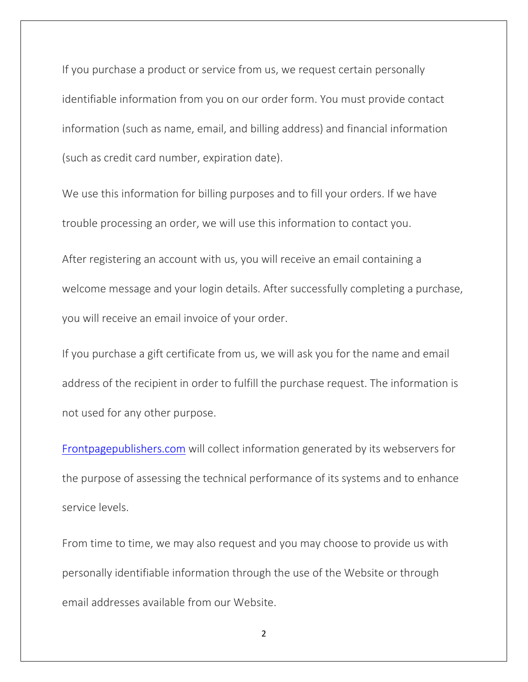If you purchase a product or service from us, we request certain personally identifiable information from you on our order form. You must provide contact information (such as name, email, and billing address) and financial information (such as credit card number, expiration date).

We use this information for billing purposes and to fill your orders. If we have trouble processing an order, we will use this information to contact you.

After registering an account with us, you will receive an email containing a welcome message and your login details. After successfully completing a purchase, you will receive an email invoice of your order.

If you purchase a gift certificate from us, we will ask you for the name and email address of the recipient in order to fulfill the purchase request. The information is not used for any other purpose.

<Frontpagepublishers.com> will collect information generated by its webservers for the purpose of assessing the technical performance of its systems and to enhance service levels.

From time to time, we may also request and you may choose to provide us with personally identifiable information through the use of the Website or through email addresses available from our Website.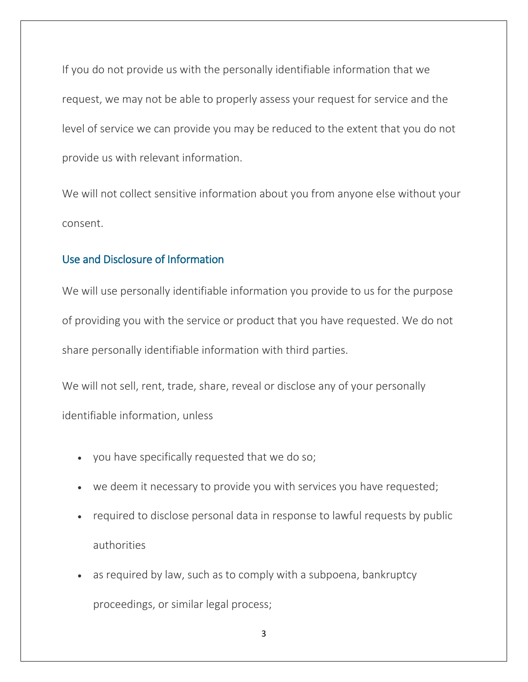If you do not provide us with the personally identifiable information that we request, we may not be able to properly assess your request for service and the level of service we can provide you may be reduced to the extent that you do not provide us with relevant information.

We will not collect sensitive information about you from anyone else without your consent.

## Use and Disclosure of Information

We will use personally identifiable information you provide to us for the purpose of providing you with the service or product that you have requested. We do not share personally identifiable information with third parties.

We will not sell, rent, trade, share, reveal or disclose any of your personally identifiable information, unless

- you have specifically requested that we do so;
- we deem it necessary to provide you with services you have requested;
- required to disclose personal data in response to lawful requests by public authorities
- as required by law, such as to comply with a subpoena, bankruptcy proceedings, or similar legal process;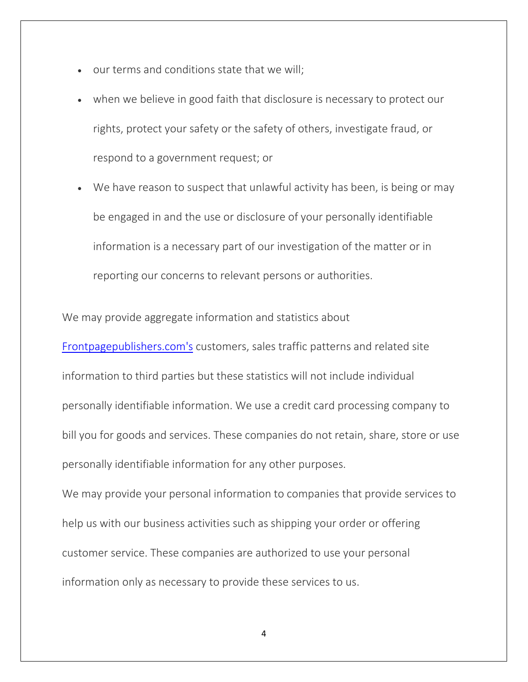- our terms and conditions state that we will;
- when we believe in good faith that disclosure is necessary to protect our rights, protect your safety or the safety of others, investigate fraud, or respond to a government request; or
- We have reason to suspect that unlawful activity has been, is being or may be engaged in and the use or disclosure of your personally identifiable information is a necessary part of our investigation of the matter or in reporting our concerns to relevant persons or authorities.

We may provide aggregate information and statistics about [Frontpagepublishers.com's](Frontpagepublishers.com) customers, sales traffic patterns and related site information to third parties but these statistics will not include individual personally identifiable information. We use a credit card processing company to bill you for goods and services. These companies do not retain, share, store or use personally identifiable information for any other purposes.

We may provide your personal information to companies that provide services to help us with our business activities such as shipping your order or offering customer service. These companies are authorized to use your personal information only as necessary to provide these services to us.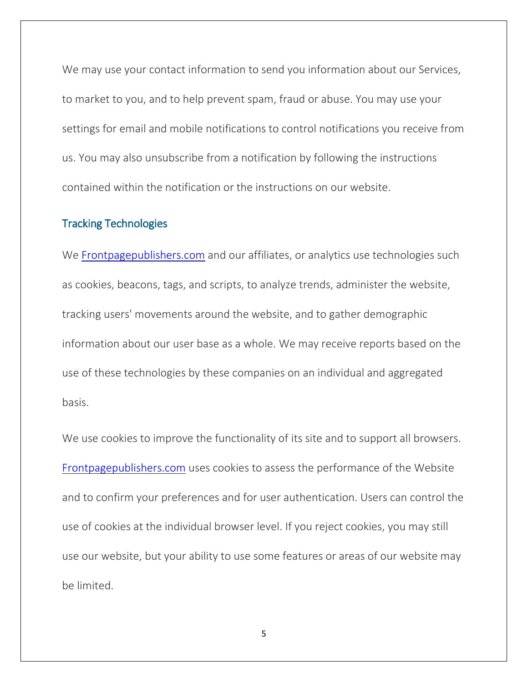We may use your contact information to send you information about our Services, to market to you, and to help prevent spam, fraud or abuse. You may use your settings for email and mobile notifications to control notifications you receive from us. You may also unsubscribe from a notification by following the instructions contained within the notification or the instructions on our website.

#### Tracking Technologies

We<Frontpagepublishers.com> and our affiliates, or analytics use technologies such as cookies, beacons, tags, and scripts, to analyze trends, administer the website, tracking users' movements around the website, and to gather demographic information about our user base as a whole. We may receive reports based on the use of these technologies by these companies on an individual and aggregated basis.

We use cookies to improve the functionality of its site and to support all browsers. <Frontpagepublishers.com> uses cookies to assess the performance of the Website and to confirm your preferences and for user authentication. Users can control the use of cookies at the individual browser level. If you reject cookies, you may still use our website, but your ability to use some features or areas of our website may be limited.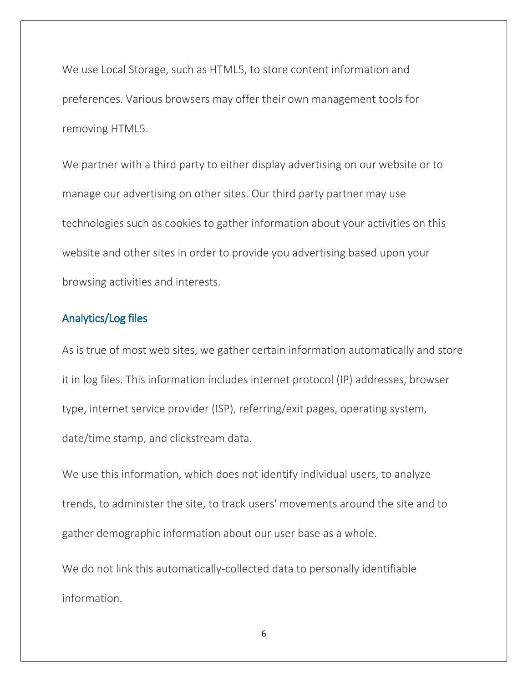We use Local Storage, such as HTML5, to store content information and preferences. Various browsers may offer their own management tools for removing HTML5.

We partner with a third party to either display advertising on our website or to manage our advertising on other sites. Our third party partner may use technologies such as cookies to gather information about your activities on this website and other sites in order to provide you advertising based upon your browsing activities and interests.

## Analytics/Log files

As is true of most web sites, we gather certain information automatically and store it in log files. This information includes internet protocol (IP) addresses, browser type, internet service provider (ISP), referring/exit pages, operating system, date/time stamp, and clickstream data.

We use this information, which does not identify individual users, to analyze trends, to administer the site, to track users' movements around the site and to gather demographic information about our user base as a whole.

We do not link this automatically-collected data to personally identifiable information.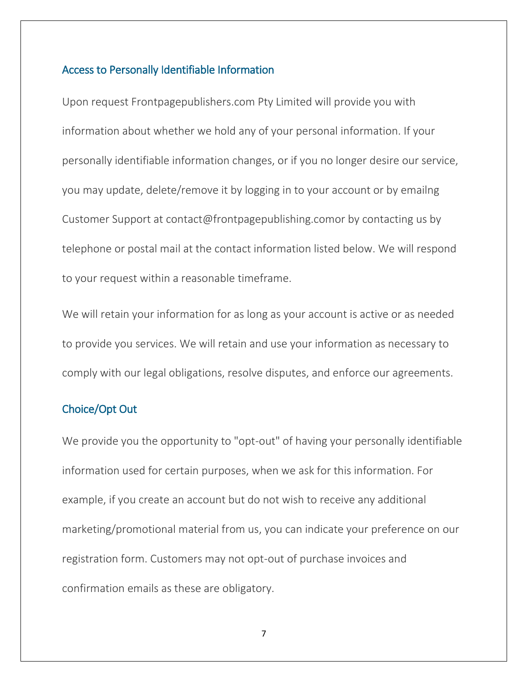#### Access to Personally Identifiable Information

Upon request Frontpagepublishers.com Pty Limited will provide you with information about whether we hold any of your personal information. If your personally identifiable information changes, or if you no longer desire our service, you may update, delete/remove it by logging in to your account or by emailng Customer Support at contact@frontpagepublishing.comor by contacting us by telephone or postal mail at the contact information listed below. We will respond to your request within a reasonable timeframe.

We will retain your information for as long as your account is active or as needed to provide you services. We will retain and use your information as necessary to comply with our legal obligations, resolve disputes, and enforce our agreements.

## Choice/Opt Out

We provide you the opportunity to "opt-out" of having your personally identifiable information used for certain purposes, when we ask for this information. For example, if you create an account but do not wish to receive any additional marketing/promotional material from us, you can indicate your preference on our registration form. Customers may not opt-out of purchase invoices and confirmation emails as these are obligatory.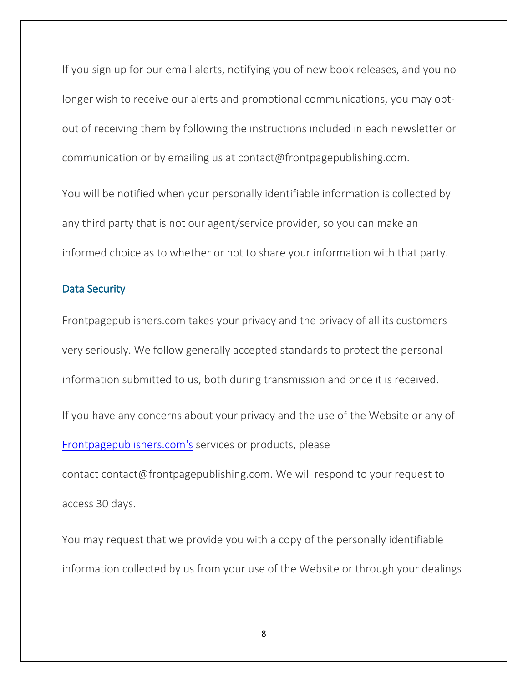If you sign up for our email alerts, notifying you of new book releases, and you no longer wish to receive our alerts and promotional communications, you may optout of receiving them by following the instructions included in each newsletter or communication or by emailing us at contact@frontpagepublishing.com.

You will be notified when your personally identifiable information is collected by any third party that is not our agent/service provider, so you can make an informed choice as to whether or not to share your information with that party.

#### Data Security

Frontpagepublishers.com takes your privacy and the privacy of all its customers very seriously. We follow generally accepted standards to protect the personal information submitted to us, both during transmission and once it is received.

If you have any concerns about your privacy and the use of the Website or any of [Frontpagepublishers.com's](Frontpagepublishers.com) services or products, please

contact contact@frontpagepublishing.com. We will respond to your request to access 30 days.

You may request that we provide you with a copy of the personally identifiable information collected by us from your use of the Website or through your dealings